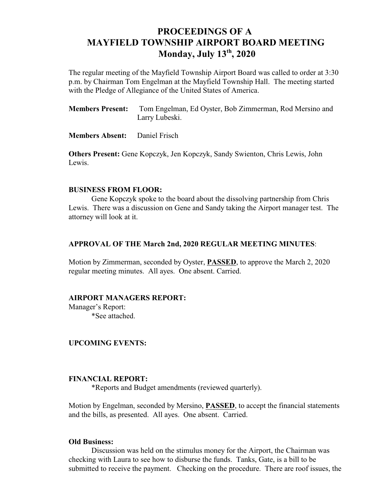# **PROCEEDINGS OF A MAYFIELD TOWNSHIP AIRPORT BOARD MEETING Monday, July 13 , 2020 th**

The regular meeting of the Mayfield Township Airport Board was called to order at 3:30 p.m. by Chairman Tom Engelman at the Mayfield Township Hall. The meeting started with the Pledge of Allegiance of the United States of America.

**Members Present:** Tom Engelman, Ed Oyster, Bob Zimmerman, Rod Mersino and Larry Lubeski.

**Members Absent:** Daniel Frisch

**Others Present:** Gene Kopczyk, Jen Kopczyk, Sandy Swienton, Chris Lewis, John Lewis.

### **BUSINESS FROM FLOOR:**

Gene Kopczyk spoke to the board about the dissolving partnership from Chris Lewis. There was a discussion on Gene and Sandy taking the Airport manager test. The attorney will look at it.

#### **APPROVAL OF THE March 2nd, 2020 REGULAR MEETING MINUTES**:

Motion by Zimmerman, seconded by Oyster, **PASSED**, to approve the March 2, 2020 regular meeting minutes. All ayes. One absent. Carried.

### **AIRPORT MANAGERS REPORT:**

Manager's Report: \*See attached.

#### **UPCOMING EVENTS:**

#### **FINANCIAL REPORT:**

\*Reports and Budget amendments (reviewed quarterly).

Motion by Engelman, seconded by Mersino, **PASSED**, to accept the financial statements and the bills, as presented. All ayes. One absent. Carried.

#### **Old Business:**

Discussion was held on the stimulus money for the Airport, the Chairman was checking with Laura to see how to disburse the funds. Tanks, Gate, is a bill to be submitted to receive the payment. Checking on the procedure. There are roof issues, the